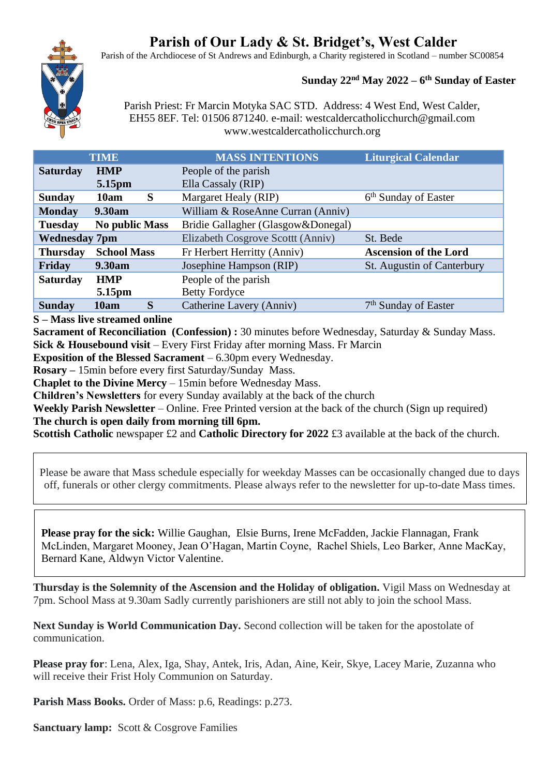# **Parish of Our Lady & St. Bridget's, West Calder**

Parish of the Archdiocese of St Andrews and Edinburgh, a Charity registered in Scotland – number SC00854

# **Sunday 22nd May 2022 – 6 th Sunday of Easter**

Parish Priest: Fr Marcin Motyka SAC STD. Address: 4 West End, West Calder, EH55 8EF. Tel: 01506 871240. e-mail: westcaldercatholicchurch@gmail.com www.westcaldercatholicchurch.org

| <b>TIME</b>                             | <b>MASS INTENTIONS</b>             | <b>Liturgical Calendar</b>       |
|-----------------------------------------|------------------------------------|----------------------------------|
| <b>Saturday</b><br><b>HMP</b>           | People of the parish               |                                  |
| 5.15pm                                  | Ella Cassaly (RIP)                 |                                  |
| S<br>10am<br><b>Sunday</b>              | Margaret Healy (RIP)               | 6 <sup>th</sup> Sunday of Easter |
| 9.30am<br><b>Monday</b>                 | William & RoseAnne Curran (Anniv)  |                                  |
| <b>No public Mass</b><br><b>Tuesday</b> | Bridie Gallagher (Glasgow&Donegal) |                                  |
| <b>Wednesday 7pm</b>                    | Elizabeth Cosgrove Scottt (Anniv)  | St. Bede                         |
| <b>School Mass</b><br><b>Thursday</b>   | Fr Herbert Herritty (Anniv)        | <b>Ascension of the Lord</b>     |
| Friday<br>9.30am                        | Josephine Hampson (RIP)            | St. Augustin of Canterbury       |
| <b>Saturday</b><br><b>HMP</b>           | People of the parish               |                                  |
| 5.15pm                                  | <b>Betty Fordyce</b>               |                                  |
| S<br>10am<br><b>Sunday</b>              | Catherine Lavery (Anniv)           | 7 <sup>th</sup> Sunday of Easter |

**S – Mass live streamed online**

**Sacrament of Reconciliation (Confession) :** 30 minutes before Wednesday, Saturday & Sunday Mass. **Sick & Housebound visit** – Every First Friday after morning Mass. Fr Marcin

**Exposition of the Blessed Sacrament** – 6.30pm every Wednesday.

**Rosary –** 15min before every first Saturday/Sunday Mass.

**Chaplet to the Divine Mercy** – 15min before Wednesday Mass.

**Children's Newsletters** for every Sunday availably at the back of the church

**Weekly Parish Newsletter** – Online. Free Printed version at the back of the church (Sign up required) **The church is open daily from morning till 6pm.** 

**Scottish Catholic newspaper £2 and Catholic Directory for 2022 £3 available at the back of the church.** 

Please be aware that Mass schedule especially for weekday Masses can be occasionally changed due to days off, funerals or other clergy commitments. Please always refer to the newsletter for up-to-date Mass times.

**Please pray for the sick:** Willie Gaughan, Elsie Burns, Irene McFadden, Jackie Flannagan, Frank McLinden, Margaret Mooney, Jean O'Hagan, Martin Coyne, Rachel Shiels, Leo Barker, Anne MacKay, Bernard Kane, Aldwyn Victor Valentine.

**Thursday is the Solemnity of the Ascension and the Holiday of obligation.** Vigil Mass on Wednesday at 7pm. School Mass at 9.30am Sadly currently parishioners are still not ably to join the school Mass.

**Next Sunday is World Communication Day.** Second collection will be taken for the apostolate of communication.

**Please pray for**: Lena, Alex, Iga, Shay, Antek, Iris, Adan, Aine, Keir, Skye, Lacey Marie, Zuzanna who will receive their Frist Holy Communion on Saturday.

**Parish Mass Books.** Order of Mass: p.6, Readings: p.273.

**Sanctuary lamp:** Scott & Cosgrove Families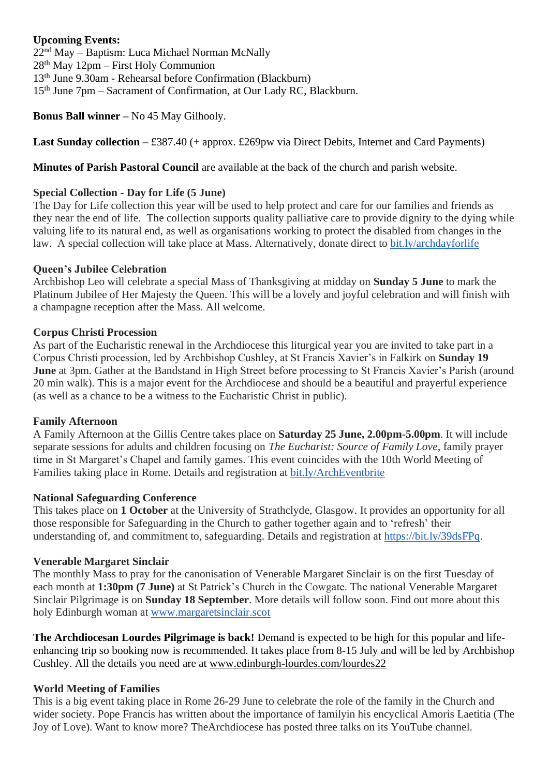## **Upcoming Events:**

nd May – Baptism: Luca Michael Norman McNally th May 12pm – First Holy Communion th June 9.30am - Rehearsal before Confirmation (Blackburn) 15<sup>th</sup> June 7pm – Sacrament of Confirmation, at Our Lady RC, Blackburn.

**Bonus Ball winner –** No 45 May Gilhooly.

**Last Sunday collection –** £387.40 (+ approx. £269pw via Direct Debits, Internet and Card Payments)

**Minutes of Parish Pastoral Council** are available at the back of the church and parish website.

### **Special Collection - Day for Life (5 June)**

The Day for Life collection this year will be used to help protect and care for our families and friends as they near the end of life. The collection supports quality palliative care to provide dignity to the dying while valuing life to its natural end, as well as organisations working to protect the disabled from changes in the law. A special collection will take place at Mass. Alternatively, donate direct to [bit.ly/archdayforlife](https://bit.ly/archdayforlife)

#### **Queen's Jubilee Celebration**

Archbishop Leo will celebrate a special Mass of Thanksgiving at midday on **Sunday 5 June** to mark the Platinum Jubilee of Her Majesty the Queen. This will be a lovely and joyful celebration and will finish with a champagne reception after the Mass. All welcome.

#### **Corpus Christi Procession**

As part of the Eucharistic renewal in the Archdiocese this liturgical year you are invited to take part in a Corpus Christi procession, led by Archbishop Cushley, at St Francis Xavier's in Falkirk on **Sunday 19 June** at 3pm. Gather at the Bandstand in High Street before processing to St Francis Xavier's Parish (around 20 min walk). This is a major event for the Archdiocese and should be a beautiful and prayerful experience (as well as a chance to be a witness to the Eucharistic Christ in public).

#### **Family Afternoon**

A Family Afternoon at the Gillis Centre takes place on **Saturday 25 June, 2.00pm-5.00pm**. It will include separate sessions for adults and children focusing on *The Eucharist: Source of Family Love*, family prayer time in St Margaret's Chapel and family games. This event coincides with the 10th World Meeting of Families taking place in Rome. Details and registration at [bit.ly/ArchEventbrite](https://bit.ly/ArchEventbrite)

## **National Safeguarding Conference**

This takes place on **1 October** at the University of Strathclyde, Glasgow. It provides an opportunity for all those responsible for Safeguarding in the Church to gather together again and to 'refresh' their understanding of, and commitment to, safeguarding. Details and registration at [https://bit.ly/39dsFPq.](https://bit.ly/39dsFPq)

#### **Venerable Margaret Sinclair**

The monthly Mass to pray for the canonisation of Venerable Margaret Sinclair is on the first Tuesday of each month at **1:30pm (7 June)** at St Patrick's Church in the Cowgate. The national Venerable Margaret Sinclair Pilgrimage is on **Sunday 18 September**. More details will follow soon. Find out more about this holy Edinburgh woman at [www.margaretsinclair.scot](http://www.margaretsinclair.scot/)

**The Archdiocesan Lourdes Pilgrimage is back!** Demand is expected to be high for this popular and lifeenhancing trip so booking now is recommended. It takes place from 8-15 July and will be led by Archbishop Cushley. All the details you need are at [www.edinburgh-lourdes.com/lourdes22](http://www.edinburgh-lourdes.com/lourdes22)

#### **World Meeting of Families**

This is a big event taking place in Rome 26-29 June to celebrate the role of the family in the Church and wider society. Pope Francis has written about the importance of familyin his encyclical Amoris Laetitia (The Joy of Love). Want to know more? TheArchdiocese has posted three talks on its YouTube channel.